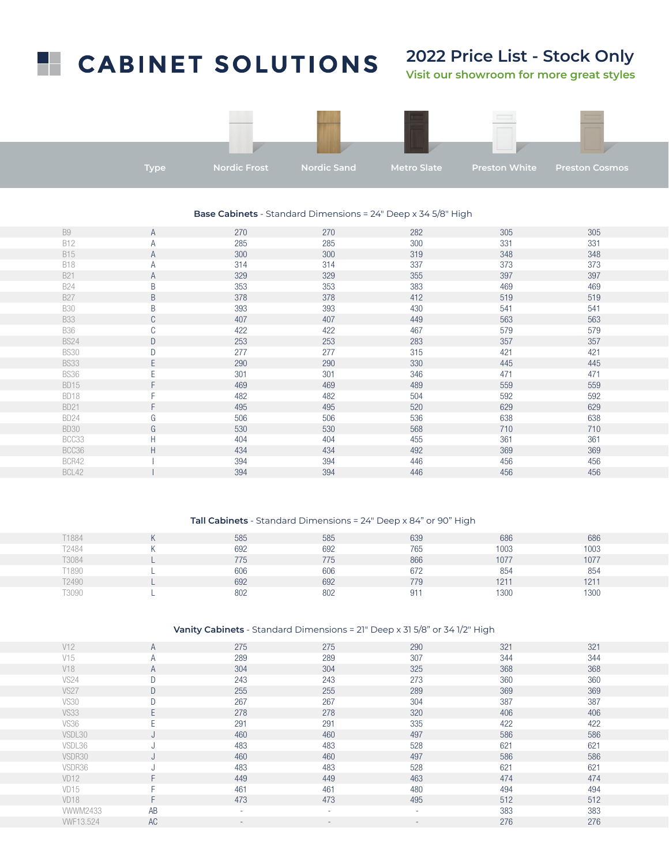# **CABINET SOLUTIONS**

## **2022 Price List - Stock Only**

**Visit our showroom for more great styles**



#### **Base Cabinets** - Standard Dimensions = 24" Deep x 34 5/8" High

| <b>B9</b>   | A  | 270 | 270 | 282 | 305 | 305 |
|-------------|----|-----|-----|-----|-----|-----|
| <b>B12</b>  | Α  | 285 | 285 | 300 | 331 | 331 |
| <b>B15</b>  | A  | 300 | 300 | 319 | 348 | 348 |
| <b>B18</b>  | Α  | 314 | 314 | 337 | 373 | 373 |
| <b>B21</b>  | A  | 329 | 329 | 355 | 397 | 397 |
| <b>B24</b>  | B  | 353 | 353 | 383 | 469 | 469 |
| <b>B27</b>  | B  | 378 | 378 | 412 | 519 | 519 |
| <b>B30</b>  | B  | 393 | 393 | 430 | 541 | 541 |
| <b>B33</b>  | C  | 407 | 407 | 449 | 563 | 563 |
| <b>B36</b>  | C  | 422 | 422 | 467 | 579 | 579 |
| <b>BS24</b> | D  | 253 | 253 | 283 | 357 | 357 |
| <b>BS30</b> | D  | 277 | 277 | 315 | 421 | 421 |
| <b>BS33</b> | E  | 290 | 290 | 330 | 445 | 445 |
| <b>BS36</b> | E  | 301 | 301 | 346 | 471 | 471 |
| <b>BD15</b> | F  | 469 | 469 | 489 | 559 | 559 |
| BD18        |    | 482 | 482 | 504 | 592 | 592 |
| <b>BD21</b> | F  | 495 | 495 | 520 | 629 | 629 |
| <b>BD24</b> | G  | 506 | 506 | 536 | 638 | 638 |
| <b>BD30</b> | G  | 530 | 530 | 568 | 710 | 710 |
| BCC33       | H  | 404 | 404 | 455 | 361 | 361 |
| BCC36       | H. | 434 | 434 | 492 | 369 | 369 |
| BCR42       |    | 394 | 394 | 446 | 456 | 456 |
| BCL42       |    | 394 | 394 | 446 | 456 | 456 |

#### **Tall Cabinets** - Standard Dimensions = 24" Deep x 84" or 90" High

| T1884        | 585 | 585 | 639          | 686  | 686  |
|--------------|-----|-----|--------------|------|------|
| T2484        | 692 | 692 | 765          | 1003 | 1003 |
| <b>F3084</b> | 775 | 775 | 866          | 1077 | 1077 |
| T1890        | 606 | 606 | 672          | 854  | 854  |
| T2490        | 692 | 692 | 779          | 1211 | 1211 |
| <b>F3090</b> | 802 | 802 | $91^{\circ}$ | 1300 | 1300 |

### **Vanity Cabinets** - Standard Dimensions = 21" Deep x 31 5/8" or 34 1/2" High

| V12              | A         | 275 | 275                      | 290 | 321 | 321 |
|------------------|-----------|-----|--------------------------|-----|-----|-----|
| V15              | A         | 289 | 289                      | 307 | 344 | 344 |
| V18              | A         | 304 | 304                      | 325 | 368 | 368 |
| <b>VS24</b>      | D         | 243 | 243                      | 273 | 360 | 360 |
| <b>VS27</b>      | D         | 255 | 255                      | 289 | 369 | 369 |
| <b>VS30</b>      | D         | 267 | 267                      | 304 | 387 | 387 |
| <b>VS33</b>      | E.        | 278 | 278                      | 320 | 406 | 406 |
| <b>VS36</b>      | E         | 291 | 291                      | 335 | 422 | 422 |
| VSDL30           | J         | 460 | 460                      | 497 | 586 | 586 |
| VSDL36           | J         | 483 | 483                      | 528 | 621 | 621 |
| VSDR30           | J         | 460 | 460                      | 497 | 586 | 586 |
| VSDR36           | J         | 483 | 483                      | 528 | 621 | 621 |
| VD <sub>12</sub> | F         | 449 | 449                      | 463 | 474 | 474 |
| VD <sub>15</sub> | F         | 461 | 461                      | 480 | 494 | 494 |
| VD <sub>18</sub> | F.        | 473 | 473                      | 495 | 512 | 512 |
| <b>VWWM2433</b>  | AB        |     | ٠                        | ٠   | 383 | 383 |
| <b>WF13.524</b>  | <b>AC</b> | ۰   | $\overline{\phantom{a}}$ | ٠   | 276 | 276 |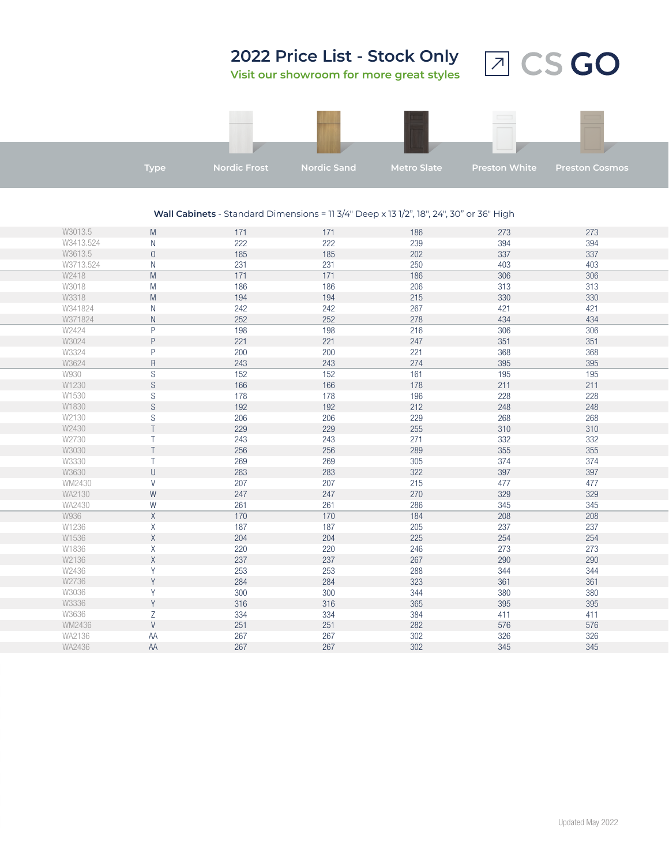

#### **Wall Cabinets** - Standard Dimensions = 11 3/4" Deep x 13 1/2", 18", 24", 30" or 36" High

| W3013.5   | M              | 171 | 171 | 186 | 273 | 273 |
|-----------|----------------|-----|-----|-----|-----|-----|
| W3413.524 | N              | 222 | 222 | 239 | 394 | 394 |
| W3613.5   | $\overline{0}$ | 185 | 185 | 202 | 337 | 337 |
| W3713.524 | N              | 231 | 231 | 250 | 403 | 403 |
| W2418     | M              | 171 | 171 | 186 | 306 | 306 |
| W3018     | M              | 186 | 186 | 206 | 313 | 313 |
| W3318     | M              | 194 | 194 | 215 | 330 | 330 |
| W341824   | N              | 242 | 242 | 267 | 421 | 421 |
| W371824   | ${\sf N}$      | 252 | 252 | 278 | 434 | 434 |
| W2424     | P              | 198 | 198 | 216 | 306 | 306 |
| W3024     | P              | 221 | 221 | 247 | 351 | 351 |
| W3324     | P              | 200 | 200 | 221 | 368 | 368 |
| W3624     | R              | 243 | 243 | 274 | 395 | 395 |
| W930      | S              | 152 | 152 | 161 | 195 | 195 |
| W1230     | S              | 166 | 166 | 178 | 211 | 211 |
| W1530     | S              | 178 | 178 | 196 | 228 | 228 |
| W1830     | S              | 192 | 192 | 212 | 248 | 248 |
| W2130     | S              | 206 | 206 | 229 | 268 | 268 |
| W2430     | T              | 229 | 229 | 255 | 310 | 310 |
| W2730     | T              | 243 | 243 | 271 | 332 | 332 |
| W3030     | T              | 256 | 256 | 289 | 355 | 355 |
| W3330     | T              | 269 | 269 | 305 | 374 | 374 |
| W3630     | $\sf U$        | 283 | 283 | 322 | 397 | 397 |
| WM2430    | V              | 207 | 207 | 215 | 477 | 477 |
| WA2130    | W              | 247 | 247 | 270 | 329 | 329 |
| WA2430    | W              | 261 | 261 | 286 | 345 | 345 |
| W936      | $\mathsf X$    | 170 | 170 | 184 | 208 | 208 |
| W1236     | Χ              | 187 | 187 | 205 | 237 | 237 |
| W1536     | X              | 204 | 204 | 225 | 254 | 254 |
| W1836     | Χ              | 220 | 220 | 246 | 273 | 273 |
| W2136     | X              | 237 | 237 | 267 | 290 | 290 |
| W2436     | Y              | 253 | 253 | 288 | 344 | 344 |
| W2736     | Y              | 284 | 284 | 323 | 361 | 361 |
| W3036     | Y              | 300 | 300 | 344 | 380 | 380 |
| W3336     | Y              | 316 | 316 | 365 | 395 | 395 |
| W3636     | Ζ              | 334 | 334 | 384 | 411 | 411 |
| WM2436    | V              | 251 | 251 | 282 | 576 | 576 |
| WA2136    | AA             | 267 | 267 | 302 | 326 | 326 |
| WA2436    | AA             | 267 | 267 | 302 | 345 | 345 |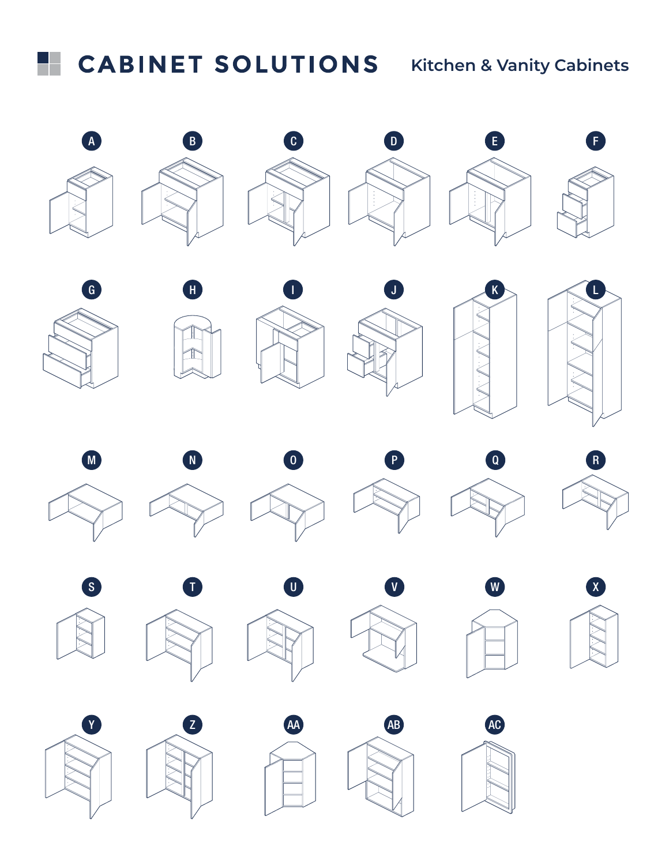